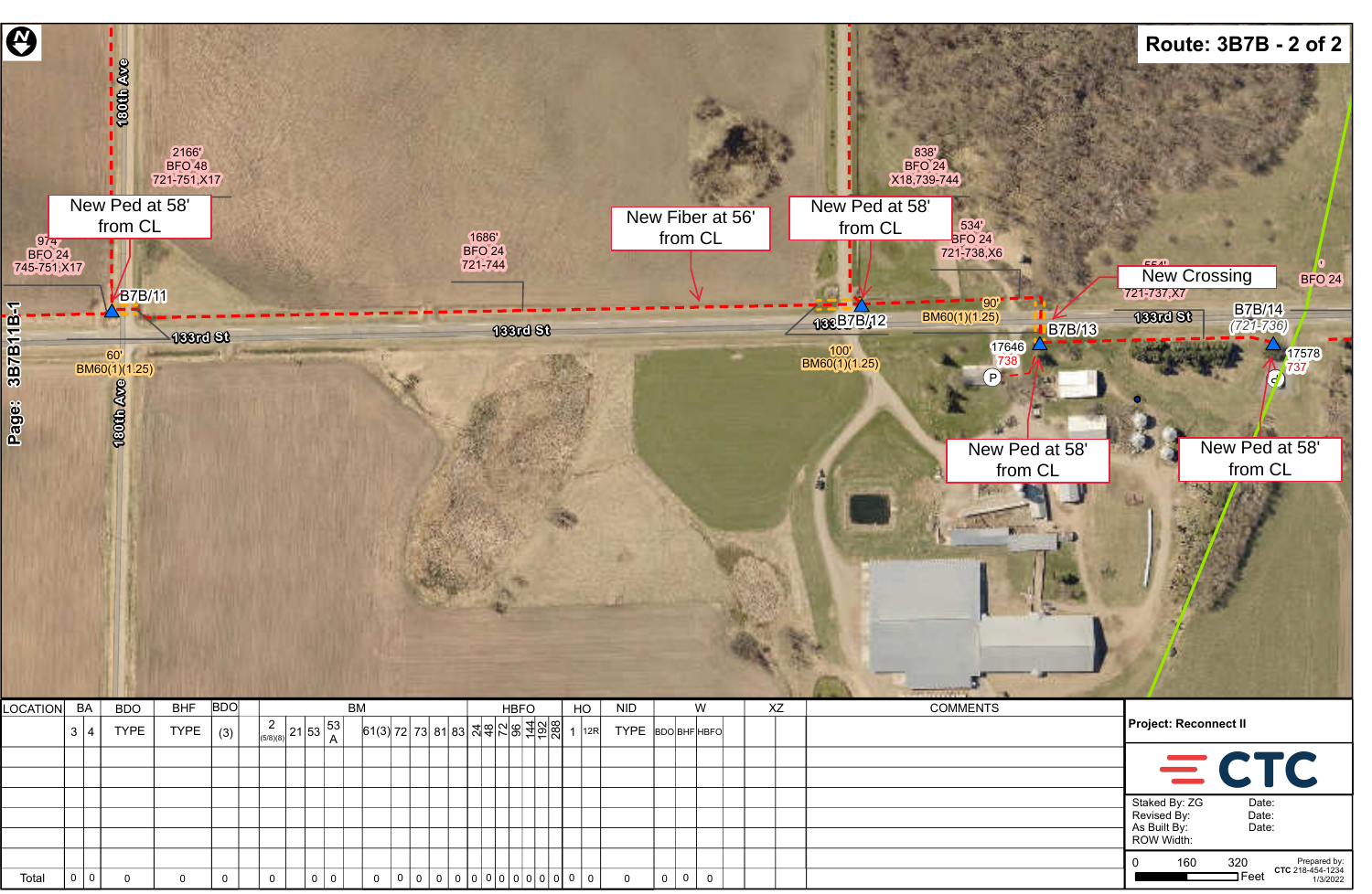